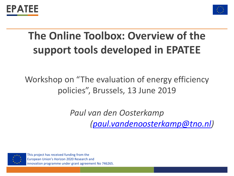



# **The Online Toolbox: Overview of the support tools developed in EPATEE**

Workshop on "The evaluation of energy efficiency policies", Brussels, 13 June 2019

> *Paul van den Oosterkamp ([paul.vandenoosterkamp@tno.nl](mailto:paul.vandenoosterkamp@tno.nl))*



This project has received funding from the European Union's Horizon 2020 Research and innovation programme under grant agreement No 746265.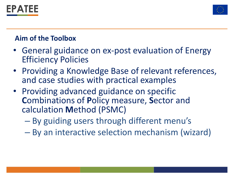



### **Aim of the Toolbox**

- General guidance on ex-post evaluation of Energy Efficiency Policies
- Providing a Knowledge Base of relevant references, and case studies with practical examples
- Providing advanced guidance on specific **C**ombinations of **P**olicy measure, **S**ector and calculation **M**ethod (PSMC)
	- By guiding users through different menu's
	- By an interactive selection mechanism (wizard)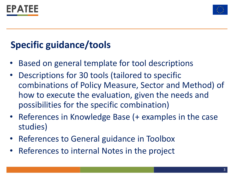



# **Specific guidance/tools**

- Based on general template for tool descriptions
- Descriptions for 30 tools (tailored to specific combinations of Policy Measure, Sector and Method) of how to execute the evaluation, given the needs and possibilities for the specific combination)
- References in Knowledge Base (+ examples in the case studies)
- References to General guidance in Toolbox
- References to internal Notes in the project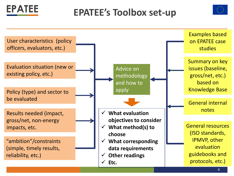

**EPATEE's Toolbox set-up** 



4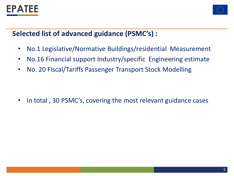



### **Selected list of advanced guidance (PSMC's) :**

- No.1 Legislative/Normative Buildings/residential Measurement
- No.16 Financial support Industry/specific Engineering estimate
- No. 20 Fiscal/Tariffs Passenger Transport Stock Modelling

• In total , 30 PSMC's, covering the most relevant guidance cases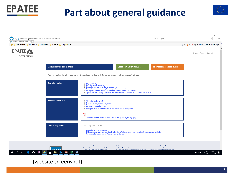



### (website screenshot)

**EPATEE**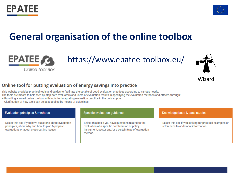



## **General organisation of the online toolbox**



https://www.epatee-toolbox.eu/



#### Wizard

#### Online tool for putting evaluation of energy savings into practice

This website provides practical tools and guides to facilitate the uptake of good evaluation practices according to various needs.

The tools are meant to help step by step both evaluators and users of evaluation results in specifying the evaluation methods and effects, through:

- Providing a smart online toolbox with tools for integrating evaluation practice in the policy cycle.

- Clarification of how tools can be best applied by means of quidelines

#### Evaluation principles & methods Knowledge base & case studies Specific evaluation guidance Select this box if you looking for practical examples or Select this box if you have questions about evaluation Select this box if you have questions related to the principles, about why and how to plan & prepare evaluation of a specific combination of policy references to additional information. evaluations or about cross-cutting issues. instrument, sector and/or a certain type of evaluation method.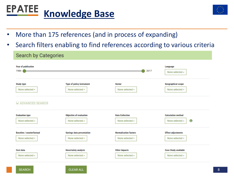



- More than 175 references (and in process of expanding)
- Search filters enabling to find references according to various criteria



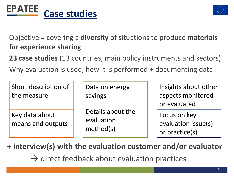



Objective = covering a **diversity** of situations to produce **materials for experience sharing**

**23 case studies** (13 countries, main policy instruments and sectors) Why evaluation is used, how it is performed + documenting data

| Short description of<br>the measure | Data on energy<br>savings                    | Insights about other<br>aspects monitored<br>or evaluated |
|-------------------------------------|----------------------------------------------|-----------------------------------------------------------|
| Key data about<br>means and outputs | Details about the<br>evaluation<br>method(s) | Focus on key<br>evaluation issue(s)<br>or practice(s)     |

**+ interview(s) with the evaluation customer and/or evaluator**

 $\rightarrow$  direct feedback about evaluation practices